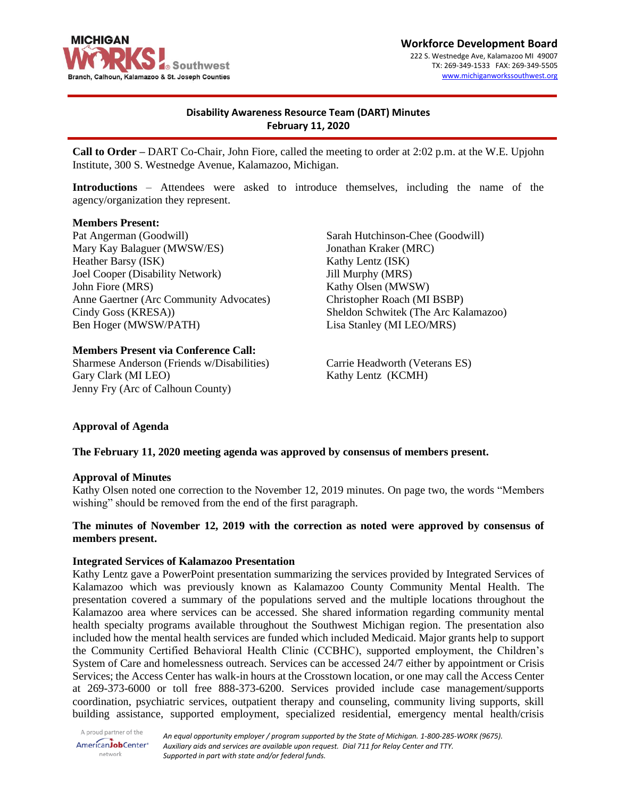

**Workforce Development Board** 222 S. Westnedge Ave, Kalamazoo MI 49007 TX: 269-349-1533 FAX: 269-349-5505 [www.michiganworkssouthwest.org](http://www.michiganworkssouthwest.org/)

# **Disability Awareness Resource Team (DART) Minutes February 11, 2020**

**Call to Order –** DART Co-Chair, John Fiore, called the meeting to order at 2:02 p.m. at the W.E. Upjohn Institute, 300 S. Westnedge Avenue, Kalamazoo, Michigan.

**Introductions** – Attendees were asked to introduce themselves, including the name of the agency/organization they represent.

#### **Members Present:**

Pat Angerman (Goodwill) Mary Kay Balaguer (MWSW/ES) Heather Barsy (ISK) Joel Cooper (Disability Network) John Fiore (MRS) Anne Gaertner (Arc Community Advocates) Cindy Goss (KRESA)) Ben Hoger (MWSW/PATH)

### **Members Present via Conference Call:**

Sharmese Anderson (Friends w/Disabilities) Gary Clark (MI LEO) Jenny Fry (Arc of Calhoun County)

Sarah Hutchinson-Chee (Goodwill) Jonathan Kraker (MRC) Kathy Lentz (ISK) Jill Murphy (MRS) Kathy Olsen (MWSW) Christopher Roach (MI BSBP) Sheldon Schwitek (The Arc Kalamazoo) Lisa Stanley (MI LEO/MRS)

Carrie Headworth (Veterans ES) Kathy Lentz (KCMH)

### **Approval of Agenda**

### **The February 11, 2020 meeting agenda was approved by consensus of members present.**

#### **Approval of Minutes**

Kathy Olsen noted one correction to the November 12, 2019 minutes. On page two, the words "Members wishing" should be removed from the end of the first paragraph.

## **The minutes of November 12, 2019 with the correction as noted were approved by consensus of members present.**

### **Integrated Services of Kalamazoo Presentation**

Kathy Lentz gave a PowerPoint presentation summarizing the services provided by Integrated Services of Kalamazoo which was previously known as Kalamazoo County Community Mental Health. The presentation covered a summary of the populations served and the multiple locations throughout the Kalamazoo area where services can be accessed. She shared information regarding community mental health specialty programs available throughout the Southwest Michigan region. The presentation also included how the mental health services are funded which included Medicaid. Major grants help to support the Community Certified Behavioral Health Clinic (CCBHC), supported employment, the Children's System of Care and homelessness outreach. Services can be accessed 24/7 either by appointment or Crisis Services; the Access Center has walk-in hours at the Crosstown location, or one may call the Access Center at 269-373-6000 or toll free 888-373-6200. Services provided include case management/supports coordination, psychiatric services, outpatient therapy and counseling, community living supports, skill building assistance, supported employment, specialized residential, emergency mental health/crisis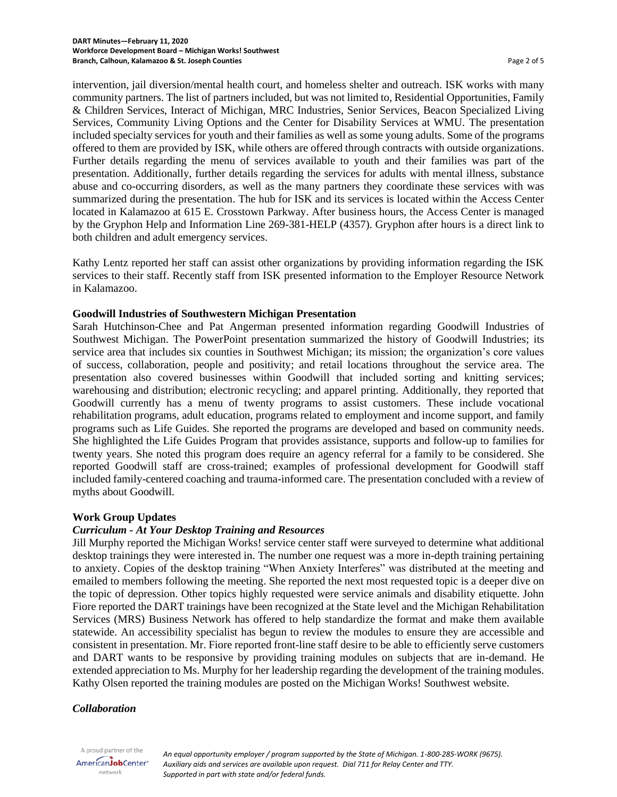intervention, jail diversion/mental health court, and homeless shelter and outreach. ISK works with many community partners. The list of partners included, but was not limited to, Residential Opportunities, Family & Children Services, Interact of Michigan, MRC Industries, Senior Services, Beacon Specialized Living Services, Community Living Options and the Center for Disability Services at WMU. The presentation included specialty services for youth and their families as well as some young adults. Some of the programs offered to them are provided by ISK, while others are offered through contracts with outside organizations. Further details regarding the menu of services available to youth and their families was part of the presentation. Additionally, further details regarding the services for adults with mental illness, substance abuse and co-occurring disorders, as well as the many partners they coordinate these services with was summarized during the presentation. The hub for ISK and its services is located within the Access Center located in Kalamazoo at 615 E. Crosstown Parkway. After business hours, the Access Center is managed by the Gryphon Help and Information Line 269-381-HELP (4357). Gryphon after hours is a direct link to both children and adult emergency services.

Kathy Lentz reported her staff can assist other organizations by providing information regarding the ISK services to their staff. Recently staff from ISK presented information to the Employer Resource Network in Kalamazoo.

### **Goodwill Industries of Southwestern Michigan Presentation**

Sarah Hutchinson-Chee and Pat Angerman presented information regarding Goodwill Industries of Southwest Michigan. The PowerPoint presentation summarized the history of Goodwill Industries; its service area that includes six counties in Southwest Michigan; its mission; the organization's core values of success, collaboration, people and positivity; and retail locations throughout the service area. The presentation also covered businesses within Goodwill that included sorting and knitting services; warehousing and distribution; electronic recycling; and apparel printing. Additionally, they reported that Goodwill currently has a menu of twenty programs to assist customers. These include vocational rehabilitation programs, adult education, programs related to employment and income support, and family programs such as Life Guides. She reported the programs are developed and based on community needs. She highlighted the Life Guides Program that provides assistance, supports and follow-up to families for twenty years. She noted this program does require an agency referral for a family to be considered. She reported Goodwill staff are cross-trained; examples of professional development for Goodwill staff included family-centered coaching and trauma-informed care. The presentation concluded with a review of myths about Goodwill.

### **Work Group Updates**

## *Curriculum - At Your Desktop Training and Resources*

Jill Murphy reported the Michigan Works! service center staff were surveyed to determine what additional desktop trainings they were interested in. The number one request was a more in-depth training pertaining to anxiety. Copies of the desktop training "When Anxiety Interferes" was distributed at the meeting and emailed to members following the meeting. She reported the next most requested topic is a deeper dive on the topic of depression. Other topics highly requested were service animals and disability etiquette. John Fiore reported the DART trainings have been recognized at the State level and the Michigan Rehabilitation Services (MRS) Business Network has offered to help standardize the format and make them available statewide. An accessibility specialist has begun to review the modules to ensure they are accessible and consistent in presentation. Mr. Fiore reported front-line staff desire to be able to efficiently serve customers and DART wants to be responsive by providing training modules on subjects that are in-demand. He extended appreciation to Ms. Murphy for her leadership regarding the development of the training modules. Kathy Olsen reported the training modules are posted on the Michigan Works! Southwest website.

#### *Collaboration*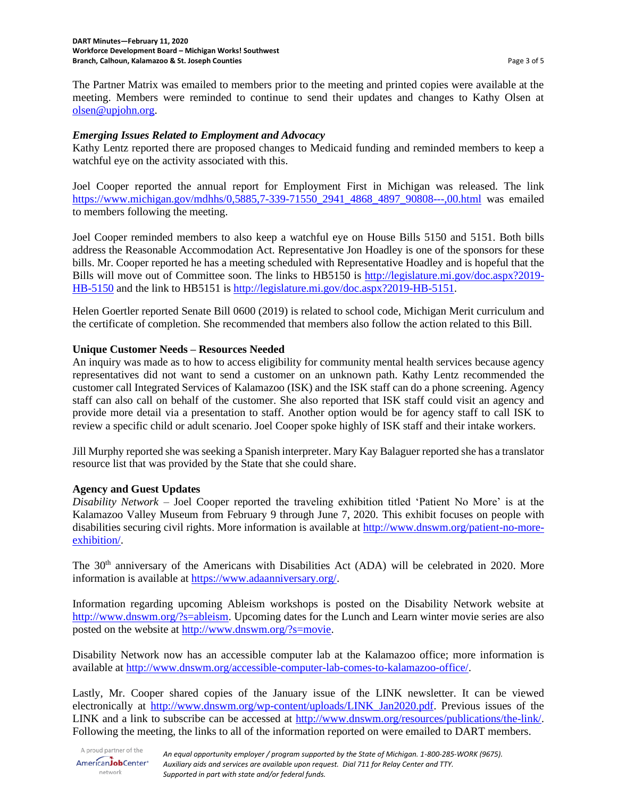The Partner Matrix was emailed to members prior to the meeting and printed copies were available at the meeting. Members were reminded to continue to send their updates and changes to Kathy Olsen at [olsen@upjohn.org.](mailto:olsen@upjohn.org)

## *Emerging Issues Related to Employment and Advocacy*

Kathy Lentz reported there are proposed changes to Medicaid funding and reminded members to keep a watchful eye on the activity associated with this.

Joel Cooper reported the annual report for Employment First in Michigan was released. The link [https://www.michigan.gov/mdhhs/0,5885,7-339-71550\\_2941\\_4868\\_4897\\_90808---,00.html](https://www.michigan.gov/mdhhs/0,5885,7-339-71550_2941_4868_4897_90808---,00.html) was emailed to members following the meeting.

Joel Cooper reminded members to also keep a watchful eye on House Bills 5150 and 5151. Both bills address the Reasonable Accommodation Act. Representative Jon Hoadley is one of the sponsors for these bills. Mr. Cooper reported he has a meeting scheduled with Representative Hoadley and is hopeful that the Bills will move out of Committee soon. The links to HB5150 is [http://legislature.mi.gov/doc.aspx?2019-](http://legislature.mi.gov/doc.aspx?2019-HB-5150) [HB-5150](http://legislature.mi.gov/doc.aspx?2019-HB-5150) and the link to HB5151 is [http://legislature.mi.gov/doc.aspx?2019-HB-5151.](http://legislature.mi.gov/doc.aspx?2019-HB-5151)

Helen Goertler reported Senate Bill 0600 (2019) is related to school code, Michigan Merit curriculum and the certificate of completion. She recommended that members also follow the action related to this Bill.

## **Unique Customer Needs – Resources Needed**

An inquiry was made as to how to access eligibility for community mental health services because agency representatives did not want to send a customer on an unknown path. Kathy Lentz recommended the customer call Integrated Services of Kalamazoo (ISK) and the ISK staff can do a phone screening. Agency staff can also call on behalf of the customer. She also reported that ISK staff could visit an agency and provide more detail via a presentation to staff. Another option would be for agency staff to call ISK to review a specific child or adult scenario. Joel Cooper spoke highly of ISK staff and their intake workers.

Jill Murphy reported she was seeking a Spanish interpreter. Mary Kay Balaguer reported she has a translator resource list that was provided by the State that she could share.

### **Agency and Guest Updates**

*Disability Network* – Joel Cooper reported the traveling exhibition titled 'Patient No More' is at the Kalamazoo Valley Museum from February 9 through June 7, 2020. This exhibit focuses on people with disabilities securing civil rights. More information is available at [http://www.dnswm.org/patient-no-more](http://www.dnswm.org/patient-no-more-exhibition/)[exhibition/.](http://www.dnswm.org/patient-no-more-exhibition/)

The 30<sup>th</sup> anniversary of the Americans with Disabilities Act (ADA) will be celebrated in 2020. More information is available at [https://www.adaanniversary.org/.](https://www.adaanniversary.org/)

Information regarding upcoming Ableism workshops is posted on the Disability Network website at [http://www.dnswm.org/?s=ableism.](http://www.dnswm.org/?s=ableism) Upcoming dates for the Lunch and Learn winter movie series are also posted on the website at [http://www.dnswm.org/?s=movie.](http://www.dnswm.org/?s=movie)

Disability Network now has an accessible computer lab at the Kalamazoo office; more information is available at [http://www.dnswm.org/accessible-computer-lab-comes-to-kalamazoo-office/.](http://www.dnswm.org/accessible-computer-lab-comes-to-kalamazoo-office/)

Lastly, Mr. Cooper shared copies of the January issue of the LINK newsletter. It can be viewed electronically at [http://www.dnswm.org/wp-content/uploads/LINK\\_Jan2020.pdf.](http://www.dnswm.org/wp-content/uploads/LINK_Jan2020.pdf) Previous issues of the LINK and a link to subscribe can be accessed at [http://www.dnswm.org/resources/publications/the-link/.](http://www.dnswm.org/resources/publications/the-link/) Following the meeting, the links to all of the information reported on were emailed to DART members.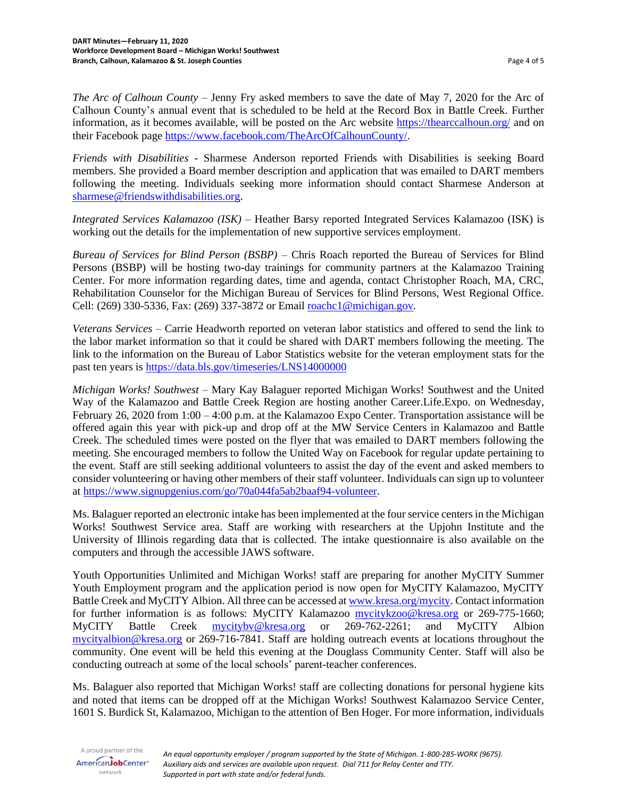*The Arc of Calhoun County –* Jenny Fry asked members to save the date of May 7, 2020 for the Arc of Calhoun County's annual event that is scheduled to be held at the Record Box in Battle Creek. Further information, as it becomes available, will be posted on the Arc website<https://thearccalhoun.org/> and on their Facebook page [https://www.facebook.com/TheArcOfCalhounCounty/.](https://www.facebook.com/TheArcOfCalhounCounty/)

*Friends with Disabilities -* Sharmese Anderson reported Friends with Disabilities is seeking Board members. She provided a Board member description and application that was emailed to DART members following the meeting. Individuals seeking more information should contact Sharmese Anderson at [sharmese@friendswithdisabilities.org.](mailto:sharmese@friendswithdisabilities.org)

*Integrated Services Kalamazoo (ISK)* – Heather Barsy reported Integrated Services Kalamazoo (ISK) is working out the details for the implementation of new supportive services employment.

*Bureau of Services for Blind Person (BSBP)* – Chris Roach reported the Bureau of Services for Blind Persons (BSBP) will be hosting two-day trainings for community partners at the Kalamazoo Training Center. For more information regarding dates, time and agenda, contact Christopher Roach, MA, CRC, Rehabilitation Counselor for the Michigan Bureau of Services for Blind Persons, West Regional Office. Cell: (269) 330-5336, Fax: (269) 337-3872 or Email [roachc1@michigan.gov](mailto:roachc1@michigan.gov)*.*

*Veterans Services* – Carrie Headworth reported on veteran labor statistics and offered to send the link to the labor market information so that it could be shared with DART members following the meeting. The link to the information on the Bureau of Labor Statistics website for the veteran employment stats for the past ten years is <https://data.bls.gov/timeseries/LNS14000000>

*Michigan Works! Southwest* – Mary Kay Balaguer reported Michigan Works! Southwest and the United Way of the Kalamazoo and Battle Creek Region are hosting another Career.Life.Expo. on Wednesday, February 26, 2020 from 1:00 – 4:00 p.m. at the Kalamazoo Expo Center. Transportation assistance will be offered again this year with pick-up and drop off at the MW Service Centers in Kalamazoo and Battle Creek. The scheduled times were posted on the flyer that was emailed to DART members following the meeting. She encouraged members to follow the United Way on Facebook for regular update pertaining to the event. Staff are still seeking additional volunteers to assist the day of the event and asked members to consider volunteering or having other members of their staff volunteer. Individuals can sign up to volunteer at [https://www.signupgenius.com/go/70a044fa5ab2baaf94-volunteer.](https://www.signupgenius.com/go/70a044fa5ab2baaf94-volunteer)

Ms. Balaguer reported an electronic intake has been implemented at the four service centers in the Michigan Works! Southwest Service area. Staff are working with researchers at the Upjohn Institute and the University of Illinois regarding data that is collected. The intake questionnaire is also available on the computers and through the accessible JAWS software.

Youth Opportunities Unlimited and Michigan Works! staff are preparing for another MyCITY Summer Youth Employment program and the application period is now open for MyCITY Kalamazoo, MyCITY Battle Creek and MyCITY Albion. All three can be accessed at [www.kresa.org/mycity.](http://www.kresa.org/mycity) Contact information for further information is as follows: MyCITY Kalamazoo [mycitykzoo@kresa.org](mailto:mycitykzoo@kresa.org) or 269-775-1660; MyCITY Battle Creek [mycitybv@kresa.org](mailto:mycitybv@kresa.org) or 269-762-2261; and MyCITY Albion [mycityalbion@kresa.org](mailto:mycityalbion@kresa.org) or 269-716-7841. Staff are holding outreach events at locations throughout the community. One event will be held this evening at the Douglass Community Center. Staff will also be conducting outreach at some of the local schools' parent-teacher conferences.

Ms. Balaguer also reported that Michigan Works! staff are collecting donations for personal hygiene kits and noted that items can be dropped off at the Michigan Works! Southwest Kalamazoo Service Center, 1601 S. Burdick St, Kalamazoo, Michigan to the attention of Ben Hoger. For more information, individuals